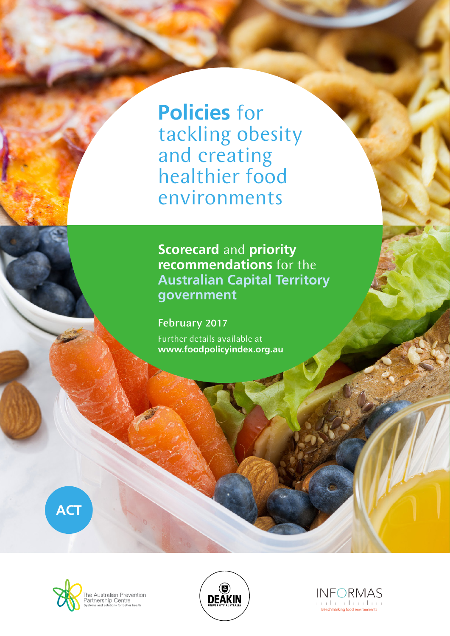**Policies** for tackling obesity and creating healthier food environments

**Scorecard** and **priority recommendations** for the **Australian Capital Territory government**

February 2017 Further details available at **www.foodpolicyindex.org.au**



The Australian Prevention<br>Partnership Centre<br>Systems and solutions for better health



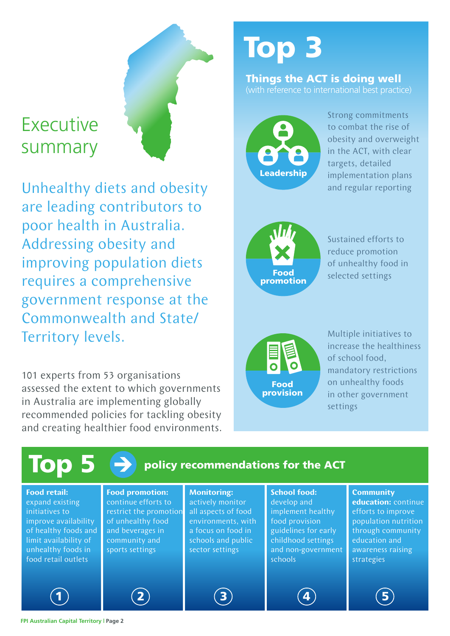# Executive summary

Unhealthy diets and obesity are leading contributors to poor health in Australia. Addressing obesity and improving population diets requires a comprehensive government response at the Commonwealth and State/ Territory levels.

101 experts from 53 organisations assessed the extent to which governments in Australia are implementing globally recommended policies for tackling obesity and creating healthier food environments.

# Top 3

#### Things the ACT is doing well (with reference to international best practice)



Strong commitments to combat the rise of obesity and overweight in the ACT, with clear targets, detailed implementation plans and regular reporting



Sustained efforts to reduce promotion of unhealthy food in selected settings



Multiple initiatives to increase the healthiness of school food, mandatory restrictions on unhealthy foods in other government settings

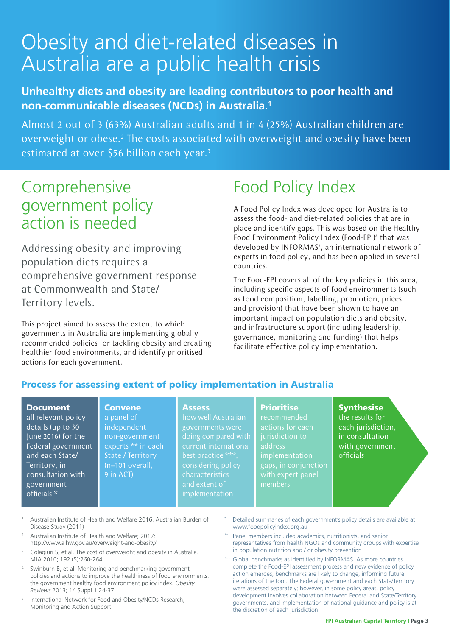# Obesity and diet-related diseases in Australia are a public health crisis

### **Unhealthy diets and obesity are leading contributors to poor health and non-communicable diseases (NCDs) in Australia.1**

Almost 2 out of 3 (63%) Australian adults and 1 in 4 (25%) Australian children are overweight or obese.<sup>2</sup> The costs associated with overweight and obesity have been estimated at over \$56 billion each year.<sup>3</sup>

### Comprehensive government policy action is needed

Addressing obesity and improving population diets requires a comprehensive government response at Commonwealth and State/ Territory levels.

This project aimed to assess the extent to which governments in Australia are implementing globally recommended policies for tackling obesity and creating healthier food environments, and identify prioritised actions for each government.

**Convene** 

## Food Policy Index

A Food Policy Index was developed for Australia to assess the food- and diet-related policies that are in place and identify gaps. This was based on the Healthy Food Environment Policy Index (Food-EPI)<sup>4</sup> that was developed by INFORMAS<sup>5</sup>, an international network of experts in food policy, and has been applied in several countries.

The Food-EPI covers all of the key policies in this area, including specific aspects of food environments (such as food composition, labelling, promotion, prices and provision) that have been shown to have an important impact on population diets and obesity, and infrastructure support (including leadership, governance, monitoring and funding) that helps facilitate effective policy implementation.

#### Process for assessing extent of policy implementation in Australia

#### Document

all relevant policy details (up to 30 June 2016) for the Federal government and each State/ Territory, in consultation with government officials \*

#### **Assess**

a panel of independent non-government experts \*\* in each State / Territory (n=101 overall, 9 in ACT)

#### how well Australian governments were doing compared with best practice \*\*\*, considering policy characteristics implementation

#### **Prioritise**

recommended actions for each jurisdiction to address implementation gaps, in conjunction members

### **Synthesise**

the results for each jurisdiction, in consultation with government officials

- <sup>1</sup> Australian Institute of Health and Welfare 2016. Australian Burden of Disease Study (2011)
- <sup>2</sup> Australian Institute of Health and Welfare; 2017: http://www.aihw.gov.au/overweight-and-obesity/
- <sup>3</sup> Colagiuri S, et al. The cost of overweight and obesity in Australia. MJA 2010; 192 (5):260-264
- Swinburn B, et al. Monitoring and benchmarking government policies and actions to improve the healthiness of food environments: the government healthy food environment policy index. *Obesity Reviews* 2013; 14 Suppl 1:24-37
- <sup>5</sup> International Network for Food and Obesity/NCDs Research, Monitoring and Action Support
- Detailed summaries of each government's policy details are available at www.foodpolicyindex.org.au
- Panel members included academics, nutritionists, and senior representatives from health NGOs and community groups with expertise in population nutrition and / or obesity prevention
- Global benchmarks as identified by INFORMAS. As more countries complete the Food-EPI assessment process and new evidence of policy action emerges, benchmarks are likely to change, informing future iterations of the tool. The Federal government and each State/Territory were assessed separately; however, in some policy areas, policy development involves collaboration between Federal and State/Territory governments, and implementation of national guidance and policy is at the discretion of each jurisdiction.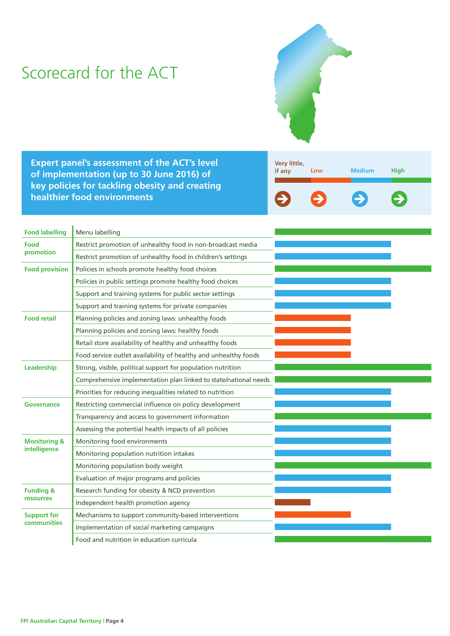### Scorecard for the ACT



**Expert panel's assessment of the ACT's level of implementation (up to 30 June 2016) of key policies for tackling obesity and creating healthier food environments**



| <b>Food labelling</b>                    | Menu labelling                                                   |  |
|------------------------------------------|------------------------------------------------------------------|--|
| <b>Food</b><br>promotion                 | Restrict promotion of unhealthy food in non-broadcast media      |  |
|                                          | Restrict promotion of unhealthy food in children's settings      |  |
| <b>Food provision</b>                    | Policies in schools promote healthy food choices                 |  |
|                                          | Policies in public settings promote healthy food choices         |  |
|                                          | Support and training systems for public sector settings          |  |
|                                          | Support and training systems for private companies               |  |
| <b>Food retail</b>                       | Planning policies and zoning laws: unhealthy foods               |  |
|                                          | Planning policies and zoning laws: healthy foods                 |  |
|                                          | Retail store availability of healthy and unhealthy foods         |  |
|                                          | Food service outlet availability of healthy and unhealthy foods  |  |
| Leadership                               | Strong, visible, political support for population nutrition      |  |
|                                          | Comprehensive implementation plan linked to state/national needs |  |
|                                          | Priorities for reducing inequalities related to nutrition        |  |
| Governance                               | Restricting commercial influence on policy development           |  |
|                                          | Transparency and access to government information                |  |
|                                          | Assessing the potential health impacts of all policies           |  |
| <b>Monitoring &amp;</b><br>intelligence  | Monitoring food environments                                     |  |
|                                          | Monitoring population nutrition intakes                          |  |
|                                          | Monitoring population body weight                                |  |
|                                          | Evaluation of major programs and policies                        |  |
| <b>Funding &amp;</b>                     | Research funding for obesity & NCD prevention                    |  |
| resources                                | Independent health promotion agency                              |  |
| <b>Support for</b><br><b>communities</b> | Mechanisms to support community-based interventions              |  |
|                                          | Implementation of social marketing campaigns                     |  |
|                                          | Food and nutrition in education curricula                        |  |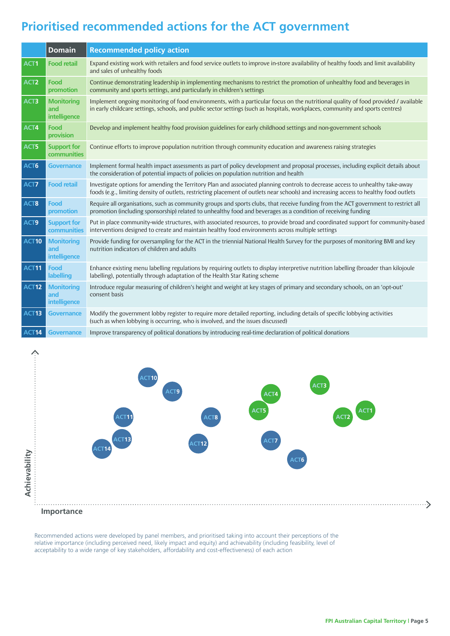### **Prioritised recommended actions for the ACT government**

|                   | <b>Domain</b>                                   | <b>Recommended policy action</b>                                                                                                                                                                                                                                         |  |
|-------------------|-------------------------------------------------|--------------------------------------------------------------------------------------------------------------------------------------------------------------------------------------------------------------------------------------------------------------------------|--|
| ACT1              | <b>Food retail</b>                              | Expand existing work with retailers and food service outlets to improve in-store availability of healthy foods and limit availability<br>and sales of unhealthy foods                                                                                                    |  |
| ACT <sub>2</sub>  | Food<br>promotion                               | Continue demonstrating leadership in implementing mechanisms to restrict the promotion of unhealthy food and beverages in<br>community and sports settings, and particularly in children's settings                                                                      |  |
| ACT3              | <b>Monitoring</b><br>and<br>intelligence        | Implement ongoing monitoring of food environments, with a particular focus on the nutritional quality of food provided / available<br>in early childcare settings, schools, and public sector settings (such as hospitals, workplaces, community and sports centres)     |  |
| ACT4              | <b>Food</b><br>provision                        | Develop and implement healthy food provision guidelines for early childhood settings and non-government schools                                                                                                                                                          |  |
| ACT5              | <b>Support for</b><br>communities               | Continue efforts to improve population nutrition through community education and awareness raising strategies                                                                                                                                                            |  |
| ACT6              | <b>Governance</b>                               | Implement formal health impact assessments as part of policy development and proposal processes, including explicit details about<br>the consideration of potential impacts of policies on population nutrition and health                                               |  |
| ACT7              | <b>Food retail</b>                              | Investigate options for amending the Territory Plan and associated planning controls to decrease access to unhealthy take-away<br>foods (e.g., limiting density of outlets, restricting placement of outlets near schools) and increasing access to healthy food outlets |  |
| ACT8              | <b>Food</b><br>promotion                        | Require all organisations, such as community groups and sports clubs, that receive funding from the ACT government to restrict all<br>promotion (including sponsorship) related to unhealthy food and beverages as a condition of receiving funding                      |  |
| ACT9              | <b>Support for</b><br>communities               | Put in place community-wide structures, with associated resources, to provide broad and coordinated support for community-based<br>interventions designed to create and maintain healthy food environments across multiple settings                                      |  |
| <b>ACT10</b>      | <b>Monitoring</b><br>and<br>intelligence        | Provide funding for oversampling for the ACT in the triennial National Health Survey for the purposes of monitoring BMI and key<br>nutrition indicators of children and adults                                                                                           |  |
| <b>ACT11</b>      | Food<br>labelling                               | Enhance existing menu labelling regulations by requiring outlets to display interpretive nutrition labelling (broader than kilojoule<br>labelling), potentially through adaptation of the Health Star Rating scheme                                                      |  |
| ACT <sub>12</sub> | <b>Monitoring</b><br>and<br><b>intelligence</b> | Introduce regular measuring of children's height and weight at key stages of primary and secondary schools, on an 'opt-out'<br>consent basis                                                                                                                             |  |
| ACT <sub>13</sub> | <b>Governance</b>                               | Modify the government lobby register to require more detailed reporting, including details of specific lobbying activities<br>(such as when lobbying is occurring, who is involved, and the issues discussed)                                                            |  |
| ACT14             | Governance                                      | Improve transparency of political donations by introducing real-time declaration of political donations                                                                                                                                                                  |  |





**Importance**

Recommended actions were developed by panel members, and prioritised taking into account their perceptions of the relative importance (including perceived need, likely impact and equity) and achievability (including feasibility, level of acceptability to a wide range of key stakeholders, affordability and cost-effectiveness) of each action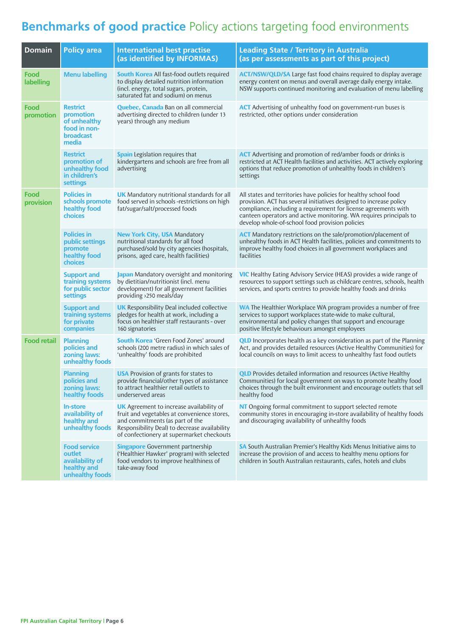### **Benchmarks of good practice** Policy actions targeting food environments

| <b>Domain</b>      | <b>Policy area</b>                                                                 | <b>International best practise</b><br>(as identified by INFORMAS)                                                                                                                                                               | <b>Leading State / Territory in Australia</b><br>(as per assessments as part of this project)                                                                                                                                                                                                                                      |
|--------------------|------------------------------------------------------------------------------------|---------------------------------------------------------------------------------------------------------------------------------------------------------------------------------------------------------------------------------|------------------------------------------------------------------------------------------------------------------------------------------------------------------------------------------------------------------------------------------------------------------------------------------------------------------------------------|
| Food<br>labelling  | <b>Menu labelling</b>                                                              | <b>South Korea</b> All fast-food outlets required<br>to display detailed nutrition information<br>(incl. energy, total sugars, protein,<br>saturated fat and sodium) on menus                                                   | <b>ACT/NSW/QLD/SA</b> Large fast food chains required to display average<br>energy content on menus and overall average daily energy intake.<br>NSW supports continued monitoring and evaluation of menu labelling                                                                                                                 |
| Food<br>promotion  | <b>Restrict</b><br>promotion<br>of unhealthy<br>food in non-<br>broadcast<br>media | <b>Quebec, Canada</b> Ban on all commercial<br>advertising directed to children (under 13<br>years) through any medium                                                                                                          | <b>ACT</b> Advertising of unhealthy food on government-run buses is<br>restricted, other options under consideration                                                                                                                                                                                                               |
|                    | <b>Restrict</b><br>promotion of<br>unhealthy food<br>in children's<br>settings     | <b>Spain</b> Legislation requires that<br>kindergartens and schools are free from all<br>advertising                                                                                                                            | <b>ACT</b> Advertising and promotion of red/amber foods or drinks is<br>restricted at ACT Health facilities and activities. ACT actively exploring<br>options that reduce promotion of unhealthy foods in children's<br>settings                                                                                                   |
| Food<br>provision  | <b>Policies in</b><br>schools promote<br>healthy food<br>choices                   | <b>UK</b> Mandatory nutritional standards for all<br>food served in schools -restrictions on high<br>fat/sugar/salt/processed foods                                                                                             | All states and territories have policies for healthy school food<br>provision. ACT has several initiatives designed to increase policy<br>compliance, including a requirement for license agreements with<br>canteen operators and active monitoring. WA requires principals to<br>develop whole-of-school food provision policies |
|                    | <b>Policies in</b><br>public settings<br>promote<br>healthy food<br>choices        | <b>New York City, USA Mandatory</b><br>nutritional standards for all food<br>purchased/sold by city agencies (hospitals,<br>prisons, aged care, health facilities)                                                              | <b>ACT</b> Mandatory restrictions on the sale/promotion/placement of<br>unhealthy foods in ACT Health facilities, policies and commitments to<br>improve healthy food choices in all government workplaces and<br>facilities                                                                                                       |
|                    | <b>Support and</b><br>training systems<br>for public sector<br>settings            | Japan Mandatory oversight and monitoring<br>by dietitian/nutritionist (incl. menu<br>development) for all government facilities<br>providing >250 meals/day                                                                     | <b>VIC</b> Healthy Eating Advisory Service (HEAS) provides a wide range of<br>resources to support settings such as childcare centres, schools, health<br>services, and sports centres to provide healthy foods and drinks                                                                                                         |
|                    | <b>Support and</b><br>training systems<br>for private<br>companies                 | <b>UK</b> Responsibility Deal included collective<br>pledges for health at work, including a<br>focus on healthier staff restaurants - over<br>160 signatories                                                                  | <b>WA</b> The Healthier Workplace WA program provides a number of free<br>services to support workplaces state-wide to make cultural,<br>environmental and policy changes that support and encourage<br>positive lifestyle behaviours amongst employees                                                                            |
| <b>Food retail</b> | <b>Planning</b><br>policies and<br>zoning laws:<br>unhealthy foods                 | <b>South Korea</b> 'Green Food Zones' around<br>schools (200 metre radius) in which sales of<br>'unhealthy' foods are prohibited                                                                                                | <b>QLD</b> Incorporates health as a key consideration as part of the Planning<br>Act, and provides detailed resources (Active Healthy Communities) for<br>local councils on ways to limit access to unhealthy fast food outlets                                                                                                    |
|                    | <b>Planning</b><br>policies and<br>zoning laws:<br>healthy foods                   | <b>USA</b> Provision of grants for states to<br>provide financial/other types of assistance<br>to attract healthier retail outlets to<br>underserved areas                                                                      | <b>QLD</b> Provides detailed information and resources (Active Healthy<br>Communities) for local government on ways to promote healthy food<br>choices through the built environment and encourage outlets that sell<br>healthy food                                                                                               |
|                    | <b>In-store</b><br>availability of<br>healthy and<br>unhealthy foods               | <b>UK</b> Agreement to increase availability of<br>fruit and vegetables at convenience stores,<br>and commitments (as part of the<br>Responsibility Deal) to decrease availability<br>of confectionery at supermarket checkouts | NT Ongoing formal commitment to support selected remote<br>community stores in encouraging in-store availability of healthy foods<br>and discouraging availability of unhealthy foods                                                                                                                                              |
|                    | <b>Food service</b><br>outlet<br>availability of<br>healthy and<br>unhealthy foods | <b>Singapore</b> Government partnership<br>('Healthier Hawker' program) with selected<br>food vendors to improve healthiness of<br>take-away food                                                                               | SA South Australian Premier's Healthy Kids Menus Initiative aims to<br>increase the provision of and access to healthy menu options for<br>children in South Australian restaurants, cafes, hotels and clubs                                                                                                                       |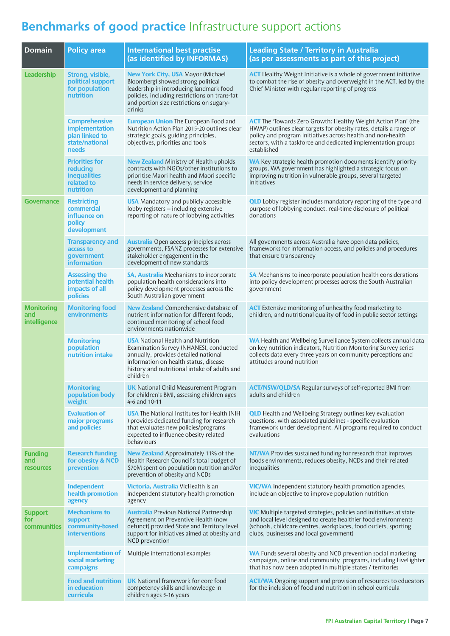### **Benchmarks of good practice** Infrastructure support actions

| <b>Domain</b>                             | <b>Policy area</b>                                                                  | <b>International best practise</b><br>(as identified by INFORMAS)                                                                                                                                                                | <b>Leading State / Territory in Australia</b><br>(as per assessments as part of this project)                                                                                                                                                                                              |
|-------------------------------------------|-------------------------------------------------------------------------------------|----------------------------------------------------------------------------------------------------------------------------------------------------------------------------------------------------------------------------------|--------------------------------------------------------------------------------------------------------------------------------------------------------------------------------------------------------------------------------------------------------------------------------------------|
| Leadership                                | Strong, visible,<br>political support<br>for population<br>nutrition                | <b>New York City, USA Mayor (Michael</b><br>Bloomberg) showed strong political<br>leadership in introducing landmark food<br>policies, including restrictions on trans-fat<br>and portion size restrictions on sugary-<br>drinks | <b>ACT</b> Healthy Weight Initiative is a whole of government initiative<br>to combat the rise of obesity and overweight in the ACT, led by the<br>Chief Minister with regular reporting of progress                                                                                       |
|                                           | <b>Comprehensive</b><br>implementation<br>plan linked to<br>state/national<br>needs | <b>European Union The European Food and</b><br>Nutrition Action Plan 2015-20 outlines clear<br>strategic goals, guiding principles,<br>objectives, priorities and tools                                                          | <b>ACT</b> The 'Towards Zero Growth: Healthy Weight Action Plan' (the<br>HWAP) outlines clear targets for obesity rates, details a range of<br>policy and program initiatives across health and non-health<br>sectors, with a taskforce and dedicated implementation groups<br>established |
|                                           | <b>Priorities for</b><br>reducing<br><b>inequalities</b><br>related to<br>nutrition | <b>New Zealand</b> Ministry of Health upholds<br>contracts with NGOs/other institutions to<br>prioritise Maori health and Maori specific<br>needs in service delivery, service<br>development and planning                       | <b>WA</b> Key strategic health promotion documents identify priority<br>groups, WA government has highlighted a strategic focus on<br>improving nutrition in vulnerable groups, several targeted<br>initiatives                                                                            |
| <b>Governance</b>                         | <b>Restricting</b><br>commercial<br>influence on<br>policy<br>development           | <b>USA</b> Mandatory and publicly accessible<br>lobby registers - including extensive<br>reporting of nature of lobbying activities                                                                                              | <b>QLD</b> Lobby register includes mandatory reporting of the type and<br>purpose of lobbying conduct, real-time disclosure of political<br>donations                                                                                                                                      |
|                                           | <b>Transparency and</b><br>access to<br>government<br><i>information</i>            | <b>Australia</b> Open access principles across<br>governments, FSANZ processes for extensive<br>stakeholder engagement in the<br>development of new standards                                                                    | All governments across Australia have open data policies,<br>frameworks for information access, and policies and procedures<br>that ensure transparency                                                                                                                                    |
|                                           | <b>Assessing the</b><br>potential health<br>impacts of all<br>policies              | <b>SA, Australia</b> Mechanisms to incorporate<br>population health considerations into<br>policy development processes across the<br>South Australian government                                                                | SA Mechanisms to incorporate population health considerations<br>into policy development processes across the South Australian<br>government                                                                                                                                               |
| <b>Monitoring</b><br>and<br>intelligence  | <b>Monitoring food</b><br>environments                                              | <b>New Zealand</b> Comprehensive database of<br>nutrient information for different foods,<br>continued monitoring of school food<br>environments nationwide                                                                      | <b>ACT</b> Extensive monitoring of unhealthy food marketing to<br>children, and nutritional quality of food in public sector settings                                                                                                                                                      |
|                                           | <b>Monitoring</b><br>population<br>nutrition intake                                 | <b>USA</b> National Health and Nutrition<br>Examination Survey (NHANES), conducted<br>annually, provides detailed national<br>information on health status, disease<br>history and nutritional intake of adults and<br>children  | <b>WA</b> Health and Wellbeing Surveillance System collects annual data<br>on key nutrition indicators, Nutrition Monitoring Survey series<br>collects data every three years on community perceptions and<br>attitudes around nutrition                                                   |
|                                           | <b>Monitoring</b><br>population body<br>weight                                      | <b>UK</b> National Child Measurement Program<br>for children's BMI, assessing children ages<br>4-6 and 10-11                                                                                                                     | ACT/NSW/QLD/SA Regular surveys of self-reported BMI from<br>adults and children                                                                                                                                                                                                            |
|                                           | <b>Evaluation of</b><br>major programs<br>and policies                              | <b>USA</b> The National Institutes for Health (NIH<br>) provides dedicated funding for research<br>that evaluates new policies/programs<br>expected to influence obesity related<br>behaviours                                   | <b>QLD</b> Health and Wellbeing Strategy outlines key evaluation<br>questions, with associated guidelines - specific evaluation<br>framework under development. All programs required to conduct<br>evaluations                                                                            |
| <b>Funding</b><br>and<br><b>resources</b> | <b>Research funding</b><br>for obesity & NCD<br>prevention                          | New Zealand Approximately 11% of the<br>Health Research Council's total budget of<br>\$70M spent on population nutrition and/or<br>prevention of obesity and NCDs                                                                | <b>NT/WA</b> Provides sustained funding for research that improves<br>foods environments, reduces obesity, NCDs and their related<br>inequalities                                                                                                                                          |
|                                           | <b>Independent</b><br>health promotion<br>agency                                    | Victoria, Australia VicHealth is an<br>independent statutory health promotion<br>agency                                                                                                                                          | <b>VIC/WA</b> Independent statutory health promotion agencies,<br>include an objective to improve population nutrition                                                                                                                                                                     |
| <b>Support</b><br>for<br>communities      | <b>Mechanisms to</b><br>support<br>community-based<br><b>interventions</b>          | <b>Australia</b> Previous National Partnership<br>Agreement on Preventive Health (now<br>defunct) provided State and Territory level<br>support for initiatives aimed at obesity and<br>NCD prevention                           | <b>VIC</b> Multiple targeted strategies, policies and initiatives at state<br>and local level designed to create healthier food environments<br>(schools, childcare centres, workplaces, food outlets, sporting<br>clubs, businesses and local government)                                 |
|                                           | <b>Implementation of</b><br>social marketing<br>campaigns                           | Multiple international examples                                                                                                                                                                                                  | <b>WA</b> Funds several obesity and NCD prevention social marketing<br>campaigns, online and community programs, including LiveLighter<br>that has now been adopted in multiple states / territories                                                                                       |
|                                           | <b>Food and nutrition</b><br>in education<br>curricula                              | <b>UK</b> National framework for core food<br>competency skills and knowledge in<br>children ages 5-16 years                                                                                                                     | <b>ACT/WA</b> Ongoing support and provision of resources to educators<br>for the inclusion of food and nutrition in school curricula                                                                                                                                                       |